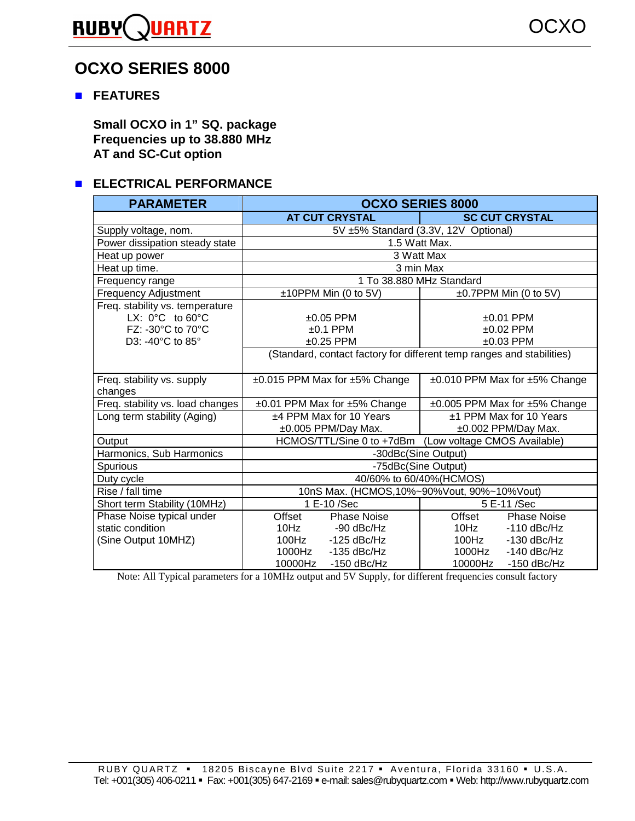#### **RUBY UARTZ**

# **OCXO SERIES 8000**

## $F_{EATURES}$

**Small OCXO in 1" SQ. package Frequencies up to 38.880 MHz AT and SC-Cut option** 

## **ELECTRICAL PERFORMANCE**

| <b>PARAMETER</b>                                                                                                | <b>OCXO SERIES 8000</b>                                               |                                                |  |  |  |  |
|-----------------------------------------------------------------------------------------------------------------|-----------------------------------------------------------------------|------------------------------------------------|--|--|--|--|
|                                                                                                                 | <b>AT CUT CRYSTAL</b>                                                 | <b>SC CUT CRYSTAL</b>                          |  |  |  |  |
| Supply voltage, nom.                                                                                            | 5V ±5% Standard (3.3V, 12V Optional)                                  |                                                |  |  |  |  |
| Power dissipation steady state                                                                                  | 1.5 Watt Max.                                                         |                                                |  |  |  |  |
| Heat up power                                                                                                   | 3 Watt Max                                                            |                                                |  |  |  |  |
| Heat up time.                                                                                                   | 3 min Max                                                             |                                                |  |  |  |  |
| Frequency range                                                                                                 | 1 To 38.880 MHz Standard                                              |                                                |  |  |  |  |
| <b>Frequency Adjustment</b>                                                                                     | ±10PPM Min (0 to 5V)                                                  | $\pm 0.7$ PPM Min (0 to 5V)                    |  |  |  |  |
| Freq. stability vs. temperature<br>LX: $0^{\circ}$ C to $60^{\circ}$ C<br>FZ: -30°C to 70°C<br>D3: -40°C to 85° | $±0.05$ PPM<br>$±0.1$ PPM<br>$±0.25$ PPM                              | $±0.01$ PPM<br>$±0.02$ PPM<br>$±0.03$ PPM      |  |  |  |  |
|                                                                                                                 | (Standard, contact factory for different temp ranges and stabilities) |                                                |  |  |  |  |
| Freq. stability vs. supply<br>changes                                                                           | $\pm 0.015$ PPM Max for $\pm 5\%$ Change                              | ±0.010 PPM Max for ±5% Change                  |  |  |  |  |
| Freq. stability vs. load changes                                                                                | ±0.01 PPM Max for ±5% Change                                          | ±0.005 PPM Max for ±5% Change                  |  |  |  |  |
| Long term stability (Aging)                                                                                     | ±4 PPM Max for 10 Years<br>±0.005 PPM/Day Max.                        | ±1 PPM Max for 10 Years<br>±0.002 PPM/Day Max. |  |  |  |  |
| Output                                                                                                          | (Low voltage CMOS Available)<br>HCMOS/TTL/Sine 0 to +7dBm             |                                                |  |  |  |  |
| Harmonics, Sub Harmonics                                                                                        | -30dBc(Sine Output)                                                   |                                                |  |  |  |  |
| Spurious                                                                                                        | -75dBc(Sine Output)                                                   |                                                |  |  |  |  |
| Duty cycle                                                                                                      | 40/60% to 60/40%(HCMOS)                                               |                                                |  |  |  |  |
| Rise / fall time                                                                                                |                                                                       | 10nS Max. (HCMOS, 10%~90%Vout, 90%~10%Vout)    |  |  |  |  |
| Short term Stability (10MHz)                                                                                    | 1 E-10 /Sec                                                           | 5 E-11 /Sec                                    |  |  |  |  |
| Phase Noise typical under                                                                                       | Offset<br><b>Phase Noise</b>                                          | <b>Phase Noise</b><br>Offset                   |  |  |  |  |
| static condition                                                                                                | 10Hz<br>-90 dBc/Hz                                                    | 10Hz<br>$-110$ dBc/Hz                          |  |  |  |  |
| (Sine Output 10MHZ)                                                                                             | 100Hz<br>$-125$ dBc/Hz                                                | 100Hz<br>$-130$ dBc/Hz                         |  |  |  |  |
|                                                                                                                 | 1000Hz<br>$-135$ dBc/Hz                                               | 1000Hz<br>$-140$ dBc/Hz                        |  |  |  |  |
|                                                                                                                 | 10000Hz<br>$-150$ dBc/Hz                                              | 10000Hz<br>$-150$ dBc/Hz                       |  |  |  |  |

Note: All Typical parameters for a 10MHz output and 5V Supply, for different frequencies consult factory